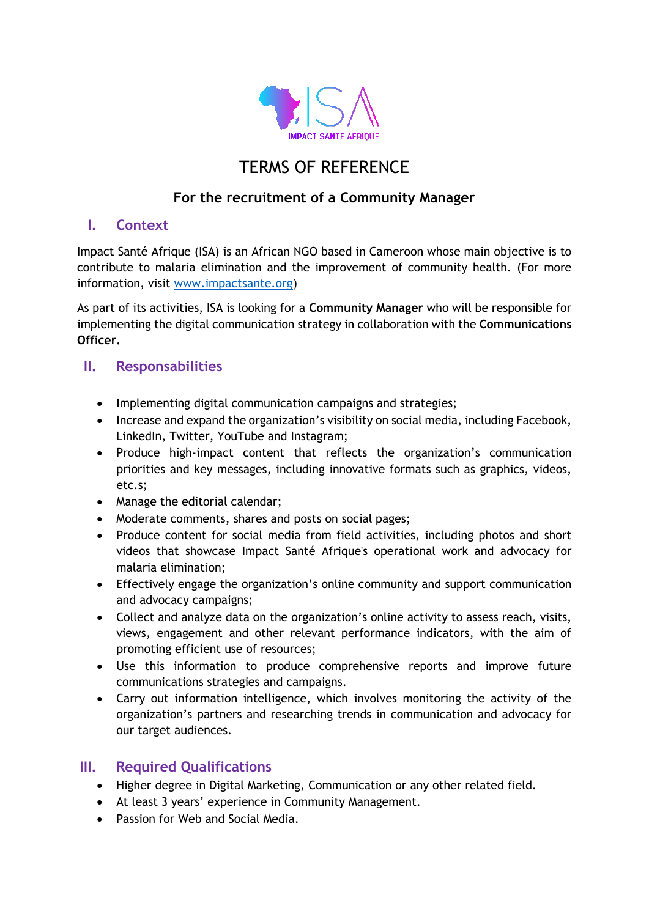

# TERMS OF REFERENCE

## **For the recruitment of a Community Manager**

#### **I. Context**

Impact Santé Afrique (ISA) is an African NGO based in Cameroon whose main objective is to contribute to malaria elimination and the improvement of community health. (For more information, visit [www.impactsante.org\)](http://www.impactsante.org/)

As part of its activities, ISA is looking for a **Community Manager** who will be responsible for implementing the digital communication strategy in collaboration with the **Communications Officer.**

### **II. Responsabilities**

- Implementing digital communication campaigns and strategies;
- Increase and expand the organization's visibility on social media, including Facebook, LinkedIn, Twitter, YouTube and Instagram;
- Produce high-impact content that reflects the organization's communication priorities and key messages, including innovative formats such as graphics, videos, etc.s;
- Manage the editorial calendar;
- Moderate comments, shares and posts on social pages;
- Produce content for social media from field activities, including photos and short videos that showcase Impact Santé Afrique's operational work and advocacy for malaria elimination;
- Effectively engage the organization's online community and support communication and advocacy campaigns;
- Collect and analyze data on the organization's online activity to assess reach, visits, views, engagement and other relevant performance indicators, with the aim of promoting efficient use of resources;
- Use this information to produce comprehensive reports and improve future communications strategies and campaigns.
- Carry out information intelligence, which involves monitoring the activity of the organization's partners and researching trends in communication and advocacy for our target audiences.

### **III. Required Qualifications**

- Higher degree in Digital Marketing, Communication or any other related field.
- At least 3 years' experience in Community Management.
- Passion for Web and Social Media.